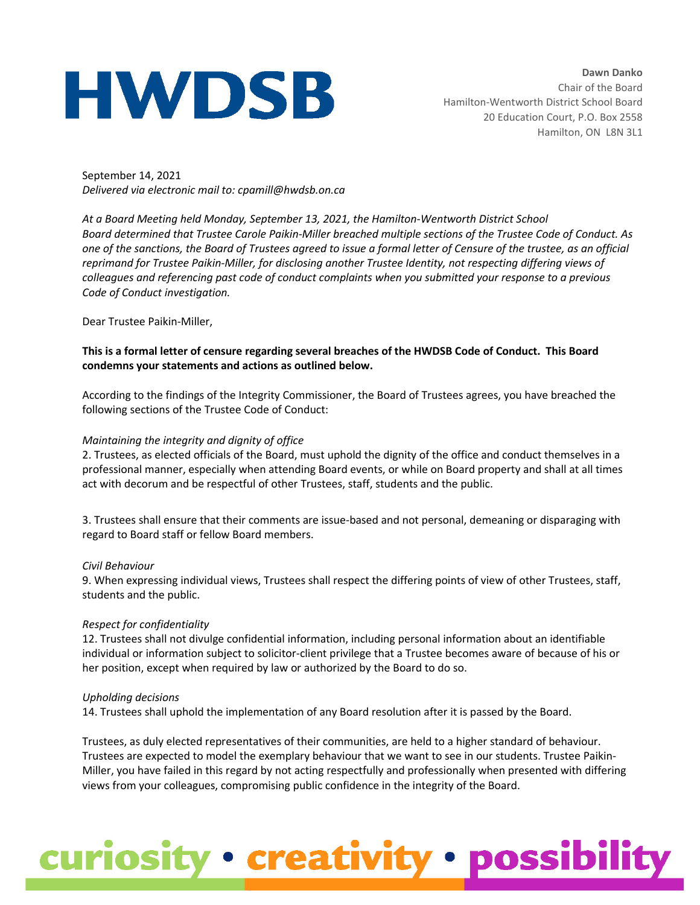# **HWDSB**

**Dawn Danko** Chair of the Board Hamilton-Wentworth District School Board 20 Education Court, P.O. Box 2558 Hamilton, ON L8N 3L1

September 14, 2021 *Delivered via electronic mail to: cpamill@hwdsb.on.ca*

*At a Board Meeting held Monday, September 13, 2021, the Hamilton-Wentworth District School Board determined that Trustee Carole Paikin-Miller breached multiple sections of the Trustee Code of Conduct. As one of the sanctions, the Board of Trustees agreed to issue a formal letter of Censure of the trustee, as an official reprimand for Trustee Paikin-Miller, for disclosing another Trustee Identity, not respecting differing views of colleagues and referencing past code of conduct complaints when you submitted your response to a previous Code of Conduct investigation.*

Dear Trustee Paikin-Miller,

#### **This is a formal letter of censure regarding several breaches of the HWDSB Code of Conduct. This Board condemns your statements and actions as outlined below.**

According to the findings of the Integrity Commissioner, the Board of Trustees agrees, you have breached the following sections of the Trustee Code of Conduct:

#### *Maintaining the integrity and dignity of office*

2. Trustees, as elected officials of the Board, must uphold the dignity of the office and conduct themselves in a professional manner, especially when attending Board events, or while on Board property and shall at all times act with decorum and be respectful of other Trustees, staff, students and the public.

3. Trustees shall ensure that their comments are issue-based and not personal, demeaning or disparaging with regard to Board staff or fellow Board members.

#### *Civil Behaviour*

9. When expressing individual views, Trustees shall respect the differing points of view of other Trustees, staff, students and the public.

#### *Respect for confidentiality*

12. Trustees shall not divulge confidential information, including personal information about an identifiable individual or information subject to solicitor-client privilege that a Trustee becomes aware of because of his or her position, except when required by law or authorized by the Board to do so.

#### *Upholding decisions*

14. Trustees shall uphold the implementation of any Board resolution after it is passed by the Board.

Trustees, as duly elected representatives of their communities, are held to a higher standard of behaviour. Trustees are expected to model the exemplary behaviour that we want to see in our students. Trustee Paikin-Miller, you have failed in this regard by not acting respectfully and professionally when presented with differing views from your colleagues, compromising public confidence in the integrity of the Board.

### curiosity · creativity · possibility